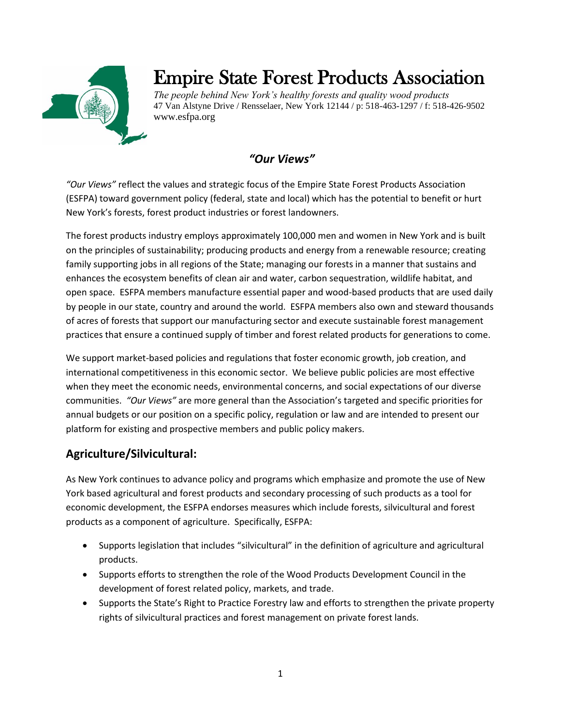

# Empire State Forest Products Association

*The people behind New York's healthy forests and quality wood products* 47 Van Alstyne Drive / Rensselaer, New York 12144 / p: 518-463-1297 / f: 518-426-9502 www.esfpa.org

# *"Our Views"*

*"Our Views"* reflect the values and strategic focus of the Empire State Forest Products Association (ESFPA) toward government policy (federal, state and local) which has the potential to benefit or hurt New York's forests, forest product industries or forest landowners.

The forest products industry employs approximately 100,000 men and women in New York and is built on the principles of sustainability; producing products and energy from a renewable resource; creating family supporting jobs in all regions of the State; managing our forests in a manner that sustains and enhances the ecosystem benefits of clean air and water, carbon sequestration, wildlife habitat, and open space. ESFPA members manufacture essential paper and wood-based products that are used daily by people in our state, country and around the world. ESFPA members also own and steward thousands of acres of forests that support our manufacturing sector and execute sustainable forest management practices that ensure a continued supply of timber and forest related products for generations to come.

We support market-based policies and regulations that foster economic growth, job creation, and international competitiveness in this economic sector. We believe public policies are most effective when they meet the economic needs, environmental concerns, and social expectations of our diverse communities. *"Our Views"* are more general than the Association's targeted and specific priorities for annual budgets or our position on a specific policy, regulation or law and are intended to present our platform for existing and prospective members and public policy makers.

# **Agriculture/Silvicultural:**

As New York continues to advance policy and programs which emphasize and promote the use of New York based agricultural and forest products and secondary processing of such products as a tool for economic development, the ESFPA endorses measures which include forests, silvicultural and forest products as a component of agriculture. Specifically, ESFPA:

- Supports legislation that includes "silvicultural" in the definition of agriculture and agricultural products.
- Supports efforts to strengthen the role of the Wood Products Development Council in the development of forest related policy, markets, and trade.
- Supports the State's Right to Practice Forestry law and efforts to strengthen the private property rights of silvicultural practices and forest management on private forest lands.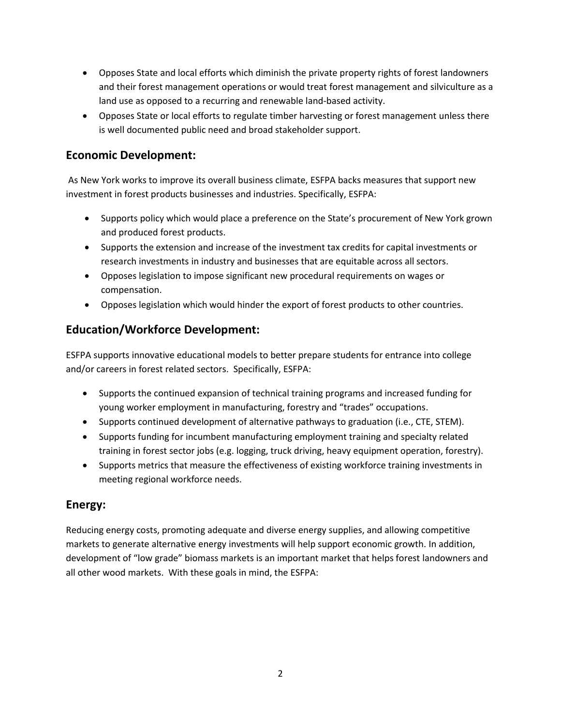- Opposes State and local efforts which diminish the private property rights of forest landowners and their forest management operations or would treat forest management and silviculture as a land use as opposed to a recurring and renewable land-based activity.
- Opposes State or local efforts to regulate timber harvesting or forest management unless there is well documented public need and broad stakeholder support.

## **Economic Development:**

As New York works to improve its overall business climate, ESFPA backs measures that support new investment in forest products businesses and industries. Specifically, ESFPA:

- Supports policy which would place a preference on the State's procurement of New York grown and produced forest products.
- Supports the extension and increase of the investment tax credits for capital investments or research investments in industry and businesses that are equitable across all sectors.
- Opposes legislation to impose significant new procedural requirements on wages or compensation.
- Opposes legislation which would hinder the export of forest products to other countries.

## **Education/Workforce Development:**

ESFPA supports innovative educational models to better prepare students for entrance into college and/or careers in forest related sectors. Specifically, ESFPA:

- Supports the continued expansion of technical training programs and increased funding for young worker employment in manufacturing, forestry and "trades" occupations.
- Supports continued development of alternative pathways to graduation (i.e., CTE, STEM).
- Supports funding for incumbent manufacturing employment training and specialty related training in forest sector jobs (e.g. logging, truck driving, heavy equipment operation, forestry).
- Supports metrics that measure the effectiveness of existing workforce training investments in meeting regional workforce needs.

## **Energy:**

Reducing energy costs, promoting adequate and diverse energy supplies, and allowing competitive markets to generate alternative energy investments will help support economic growth. In addition, development of "low grade" biomass markets is an important market that helps forest landowners and all other wood markets. With these goals in mind, the ESFPA: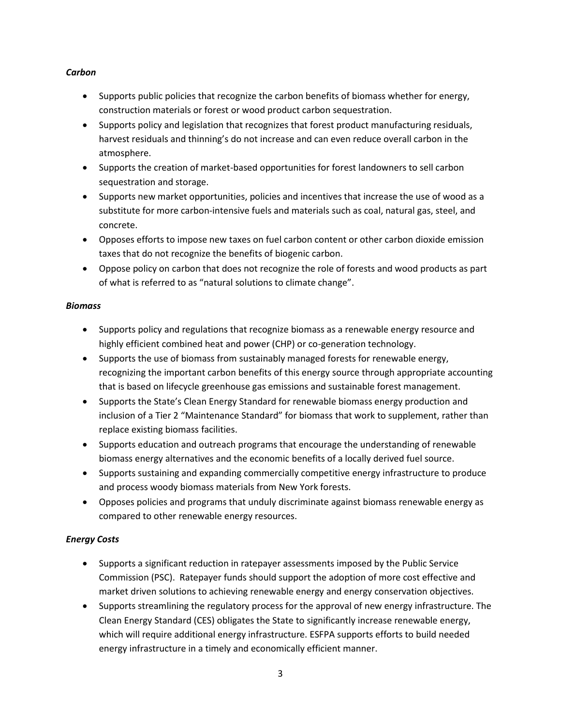#### *Carbon*

- Supports public policies that recognize the carbon benefits of biomass whether for energy, construction materials or forest or wood product carbon sequestration.
- Supports policy and legislation that recognizes that forest product manufacturing residuals, harvest residuals and thinning's do not increase and can even reduce overall carbon in the atmosphere.
- Supports the creation of market-based opportunities for forest landowners to sell carbon sequestration and storage.
- Supports new market opportunities, policies and incentives that increase the use of wood as a substitute for more carbon-intensive fuels and materials such as coal, natural gas, steel, and concrete.
- Opposes efforts to impose new taxes on fuel carbon content or other carbon dioxide emission taxes that do not recognize the benefits of biogenic carbon.
- Oppose policy on carbon that does not recognize the role of forests and wood products as part of what is referred to as "natural solutions to climate change".

#### *Biomass*

- Supports policy and regulations that recognize biomass as a renewable energy resource and highly efficient combined heat and power (CHP) or co-generation technology.
- Supports the use of biomass from sustainably managed forests for renewable energy, recognizing the important carbon benefits of this energy source through appropriate accounting that is based on lifecycle greenhouse gas emissions and sustainable forest management.
- Supports the State's Clean Energy Standard for renewable biomass energy production and inclusion of a Tier 2 "Maintenance Standard" for biomass that work to supplement, rather than replace existing biomass facilities.
- Supports education and outreach programs that encourage the understanding of renewable biomass energy alternatives and the economic benefits of a locally derived fuel source.
- Supports sustaining and expanding commercially competitive energy infrastructure to produce and process woody biomass materials from New York forests.
- Opposes policies and programs that unduly discriminate against biomass renewable energy as compared to other renewable energy resources.

#### *Energy Costs*

- Supports a significant reduction in ratepayer assessments imposed by the Public Service Commission (PSC). Ratepayer funds should support the adoption of more cost effective and market driven solutions to achieving renewable energy and energy conservation objectives.
- Supports streamlining the regulatory process for the approval of new energy infrastructure. The Clean Energy Standard (CES) obligates the State to significantly increase renewable energy, which will require additional energy infrastructure. ESFPA supports efforts to build needed energy infrastructure in a timely and economically efficient manner.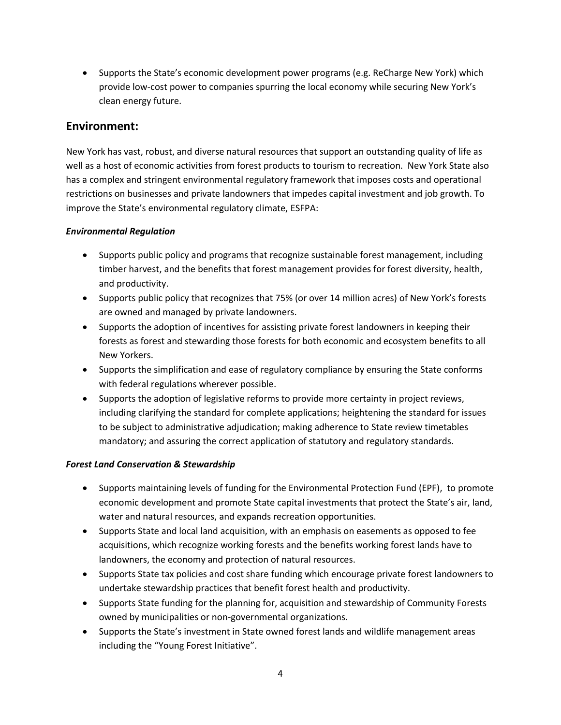• Supports the State's economic development power programs (e.g. ReCharge New York) which provide low-cost power to companies spurring the local economy while securing New York's clean energy future.

### **Environment:**

New York has vast, robust, and diverse natural resources that support an outstanding quality of life as well as a host of economic activities from forest products to tourism to recreation. New York State also has a complex and stringent environmental regulatory framework that imposes costs and operational restrictions on businesses and private landowners that impedes capital investment and job growth. To improve the State's environmental regulatory climate, ESFPA:

#### *Environmental Regulation*

- Supports public policy and programs that recognize sustainable forest management, including timber harvest, and the benefits that forest management provides for forest diversity, health, and productivity.
- Supports public policy that recognizes that 75% (or over 14 million acres) of New York's forests are owned and managed by private landowners.
- Supports the adoption of incentives for assisting private forest landowners in keeping their forests as forest and stewarding those forests for both economic and ecosystem benefits to all New Yorkers.
- Supports the simplification and ease of regulatory compliance by ensuring the State conforms with federal regulations wherever possible.
- Supports the adoption of legislative reforms to provide more certainty in project reviews, including clarifying the standard for complete applications; heightening the standard for issues to be subject to administrative adjudication; making adherence to State review timetables mandatory; and assuring the correct application of statutory and regulatory standards.

#### *Forest Land Conservation & Stewardship*

- Supports maintaining levels of funding for the Environmental Protection Fund (EPF), to promote economic development and promote State capital investments that protect the State's air, land, water and natural resources, and expands recreation opportunities.
- Supports State and local land acquisition, with an emphasis on easements as opposed to fee acquisitions, which recognize working forests and the benefits working forest lands have to landowners, the economy and protection of natural resources.
- Supports State tax policies and cost share funding which encourage private forest landowners to undertake stewardship practices that benefit forest health and productivity.
- Supports State funding for the planning for, acquisition and stewardship of Community Forests owned by municipalities or non-governmental organizations.
- Supports the State's investment in State owned forest lands and wildlife management areas including the "Young Forest Initiative".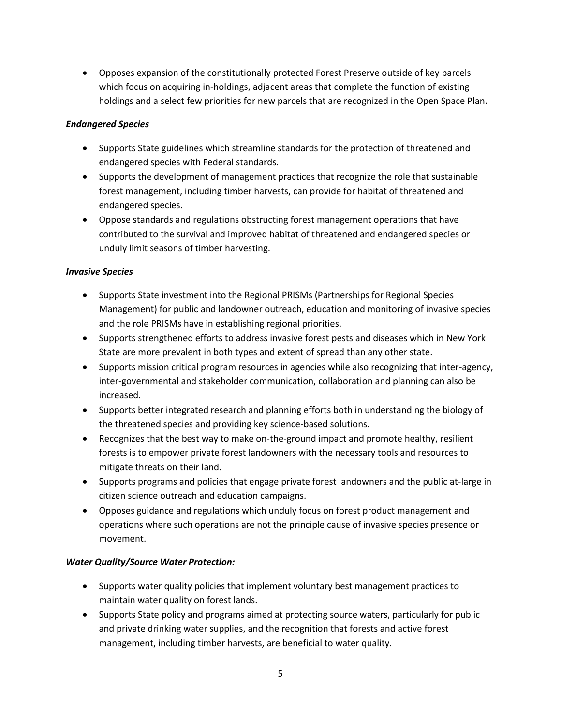• Opposes expansion of the constitutionally protected Forest Preserve outside of key parcels which focus on acquiring in-holdings, adjacent areas that complete the function of existing holdings and a select few priorities for new parcels that are recognized in the Open Space Plan.

#### *Endangered Species*

- Supports State guidelines which streamline standards for the protection of threatened and endangered species with Federal standards.
- Supports the development of management practices that recognize the role that sustainable forest management, including timber harvests, can provide for habitat of threatened and endangered species.
- Oppose standards and regulations obstructing forest management operations that have contributed to the survival and improved habitat of threatened and endangered species or unduly limit seasons of timber harvesting.

#### *Invasive Species*

- Supports State investment into the Regional PRISMs (Partnerships for Regional Species Management) for public and landowner outreach, education and monitoring of invasive species and the role PRISMs have in establishing regional priorities.
- Supports strengthened efforts to address invasive forest pests and diseases which in New York State are more prevalent in both types and extent of spread than any other state.
- Supports mission critical program resources in agencies while also recognizing that inter-agency, inter-governmental and stakeholder communication, collaboration and planning can also be increased.
- Supports better integrated research and planning efforts both in understanding the biology of the threatened species and providing key science-based solutions.
- Recognizes that the best way to make on-the-ground impact and promote healthy, resilient forests is to empower private forest landowners with the necessary tools and resources to mitigate threats on their land.
- Supports programs and policies that engage private forest landowners and the public at-large in citizen science outreach and education campaigns.
- Opposes guidance and regulations which unduly focus on forest product management and operations where such operations are not the principle cause of invasive species presence or movement.

#### *Water Quality/Source Water Protection:*

- Supports water quality policies that implement voluntary best management practices to maintain water quality on forest lands.
- Supports State policy and programs aimed at protecting source waters, particularly for public and private drinking water supplies, and the recognition that forests and active forest management, including timber harvests, are beneficial to water quality.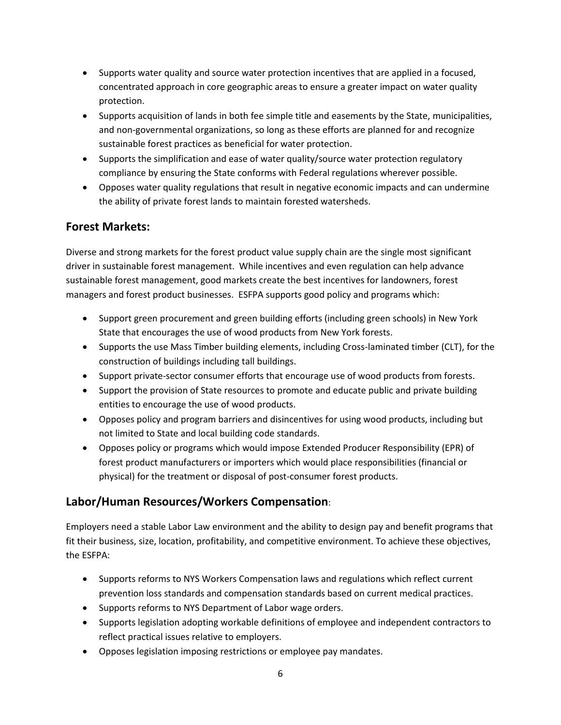- Supports water quality and source water protection incentives that are applied in a focused, concentrated approach in core geographic areas to ensure a greater impact on water quality protection.
- Supports acquisition of lands in both fee simple title and easements by the State, municipalities, and non-governmental organizations, so long as these efforts are planned for and recognize sustainable forest practices as beneficial for water protection.
- Supports the simplification and ease of water quality/source water protection regulatory compliance by ensuring the State conforms with Federal regulations wherever possible.
- Opposes water quality regulations that result in negative economic impacts and can undermine the ability of private forest lands to maintain forested watersheds.

## **Forest Markets:**

Diverse and strong markets for the forest product value supply chain are the single most significant driver in sustainable forest management. While incentives and even regulation can help advance sustainable forest management, good markets create the best incentives for landowners, forest managers and forest product businesses. ESFPA supports good policy and programs which:

- Support green procurement and green building efforts (including green schools) in New York State that encourages the use of wood products from New York forests.
- Supports the use Mass Timber building elements, including Cross-laminated timber (CLT), for the construction of buildings including tall buildings.
- Support private-sector consumer efforts that encourage use of wood products from forests.
- Support the provision of State resources to promote and educate public and private building entities to encourage the use of wood products.
- Opposes policy and program barriers and disincentives for using wood products, including but not limited to State and local building code standards.
- Opposes policy or programs which would impose Extended Producer Responsibility (EPR) of forest product manufacturers or importers which would place responsibilities (financial or physical) for the treatment or disposal of post-consumer forest products.

# **Labor/Human Resources/Workers Compensation**:

Employers need a stable Labor Law environment and the ability to design pay and benefit programs that fit their business, size, location, profitability, and competitive environment. To achieve these objectives, the ESFPA:

- Supports reforms to NYS Workers Compensation laws and regulations which reflect current prevention loss standards and compensation standards based on current medical practices.
- Supports reforms to NYS Department of Labor wage orders.
- Supports legislation adopting workable definitions of employee and independent contractors to reflect practical issues relative to employers.
- Opposes legislation imposing restrictions or employee pay mandates.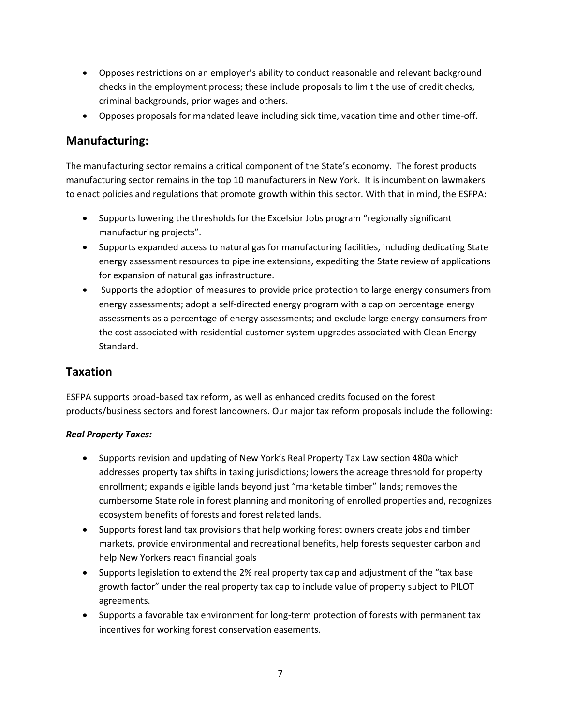- Opposes restrictions on an employer's ability to conduct reasonable and relevant background checks in the employment process; these include proposals to limit the use of credit checks, criminal backgrounds, prior wages and others.
- Opposes proposals for mandated leave including sick time, vacation time and other time-off.

## **Manufacturing:**

The manufacturing sector remains a critical component of the State's economy. The forest products manufacturing sector remains in the top 10 manufacturers in New York. It is incumbent on lawmakers to enact policies and regulations that promote growth within this sector. With that in mind, the ESFPA:

- Supports lowering the thresholds for the Excelsior Jobs program "regionally significant manufacturing projects".
- Supports expanded access to natural gas for manufacturing facilities, including dedicating State energy assessment resources to pipeline extensions, expediting the State review of applications for expansion of natural gas infrastructure.
- Supports the adoption of measures to provide price protection to large energy consumers from energy assessments; adopt a self-directed energy program with a cap on percentage energy assessments as a percentage of energy assessments; and exclude large energy consumers from the cost associated with residential customer system upgrades associated with Clean Energy Standard.

## **Taxation**

ESFPA supports broad-based tax reform, as well as enhanced credits focused on the forest products/business sectors and forest landowners. Our major tax reform proposals include the following:

#### *Real Property Taxes:*

- Supports revision and updating of New York's Real Property Tax Law section 480a which addresses property tax shifts in taxing jurisdictions; lowers the acreage threshold for property enrollment; expands eligible lands beyond just "marketable timber" lands; removes the cumbersome State role in forest planning and monitoring of enrolled properties and, recognizes ecosystem benefits of forests and forest related lands.
- Supports forest land tax provisions that help working forest owners create jobs and timber markets, provide environmental and recreational benefits, help forests sequester carbon and help New Yorkers reach financial goals
- Supports legislation to extend the 2% real property tax cap and adjustment of the "tax base growth factor" under the real property tax cap to include value of property subject to PILOT agreements.
- Supports a favorable tax environment for long-term protection of forests with permanent tax incentives for working forest conservation easements.